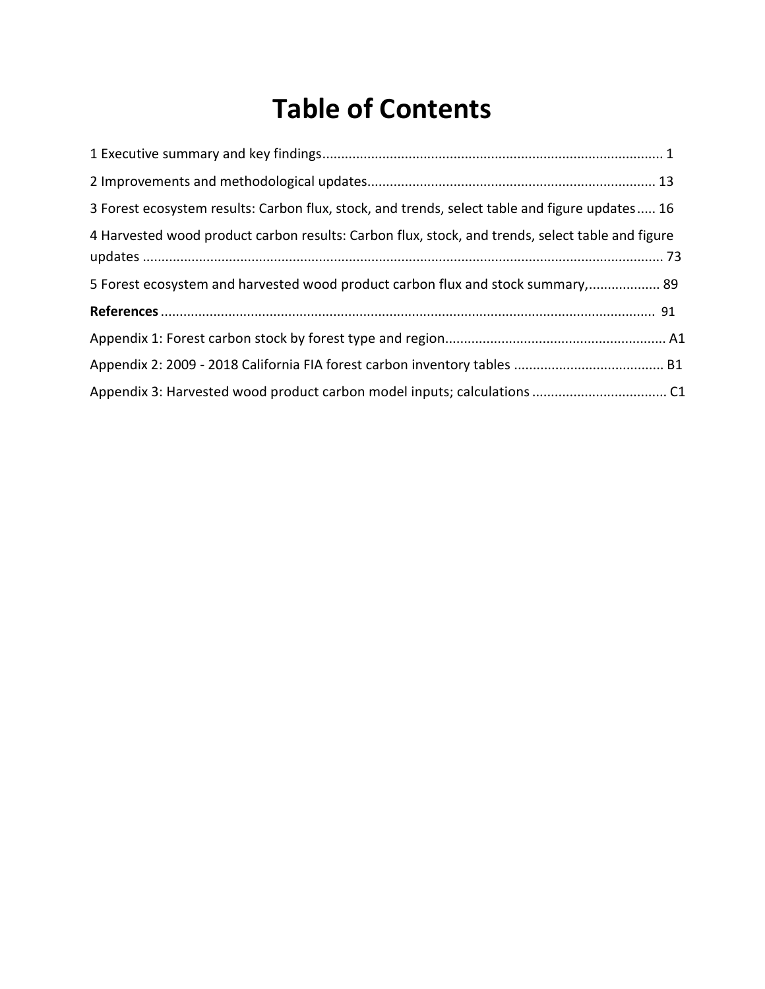## **Table of Contents**

| 3 Forest ecosystem results: Carbon flux, stock, and trends, select table and figure updates 16   |
|--------------------------------------------------------------------------------------------------|
| 4 Harvested wood product carbon results: Carbon flux, stock, and trends, select table and figure |
| 5 Forest ecosystem and harvested wood product carbon flux and stock summary, 89                  |
|                                                                                                  |
|                                                                                                  |
|                                                                                                  |
|                                                                                                  |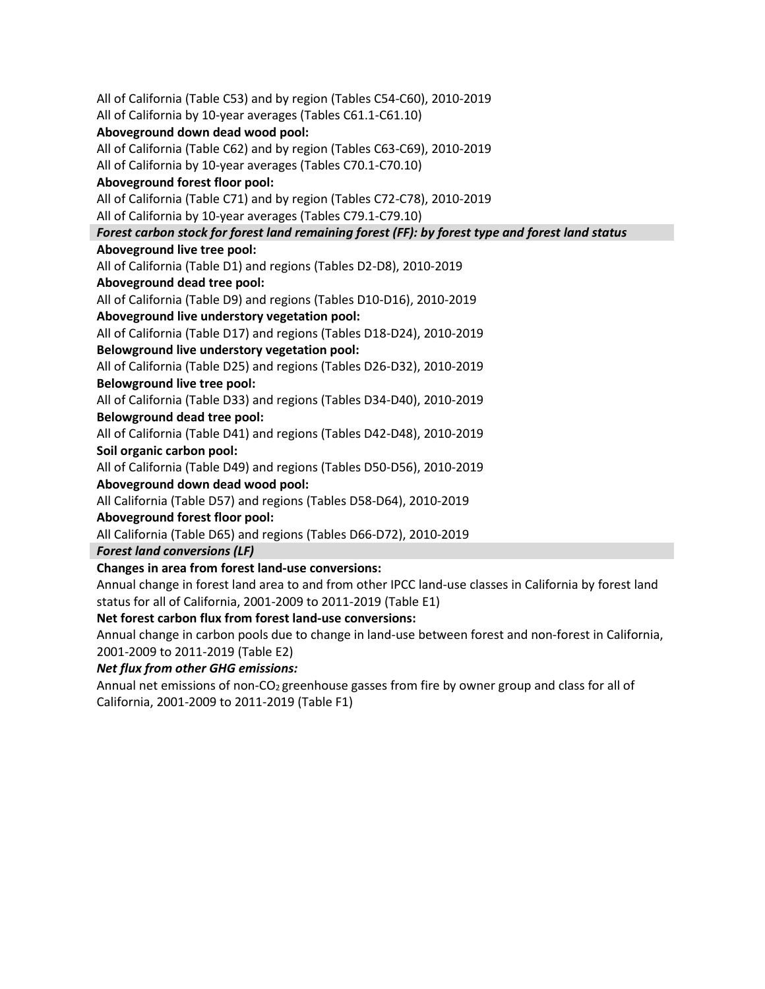All of California (Table C53) and by region (Tables C54-C60), 2010-2019 All of California by 10-year averages (Tables C61.1-C61.10) All of California (Table C62) and by region (Tables C63-C69), 2010-2019 All of California by 10-year averages (Tables C70.1-C70.10)  **Aboveground forest floor pool:**  All of California (Table C71) and by region (Tables C72-C78), 2010-2019 All of California by 10-year averages (Tables C79.1-C79.10)  **Aboveground live tree pool:**  All of California (Table D1) and regions (Tables D2-D8), 2010-2019 All of California (Table D9) and regions (Tables D10-D16), 2010-2019  **Aboveground live understory vegetation pool:**  All of California (Table D17) and regions (Tables D18-D24), 2010-2019  **Belowground live understory vegetation pool:**  All of California (Table D25) and regions (Tables D26-D32), 2010-2019  **Belowground live tree pool:**  All of California (Table D33) and regions (Tables D34-D40), 2010-2019 All of California (Table D41) and regions (Tables D42-D48), 2010-2019  **Soil organic carbon pool:**  All of California (Table D49) and regions (Tables D50-D56), 2010-2019 All California (Table D57) and regions (Tables D58-D64), 2010-2019  **Aboveground forest floor pool:**  All California (Table D65) and regions (Tables D66-D72), 2010-2019  **Changes in area from forest land-use conversions:**  Annual change in forest land area to and from other IPCC land-use classes in California by forest land **Aboveground down dead wood pool:**  *Forest carbon stock for forest land remaining forest (FF): by forest type and forest land status*  **Aboveground dead tree pool: Belowground dead tree pool: Aboveground down dead wood pool:**  *Forest land conversions (LF)*  status for all of California, 2001-2009 to 2011-2019 (Table E1)

 **Net forest carbon flux from forest land-use conversions:** 

 Annual change in carbon pools due to change in land-use between forest and non-forest in California, 2001-2009 to 2011-2019 (Table E2)

*Net flux from other GHG emissions:* 

Annual net emissions of non-CO<sub>2</sub> greenhouse gasses from fire by owner group and class for all of California, 2001-2009 to 2011-2019 (Table F1)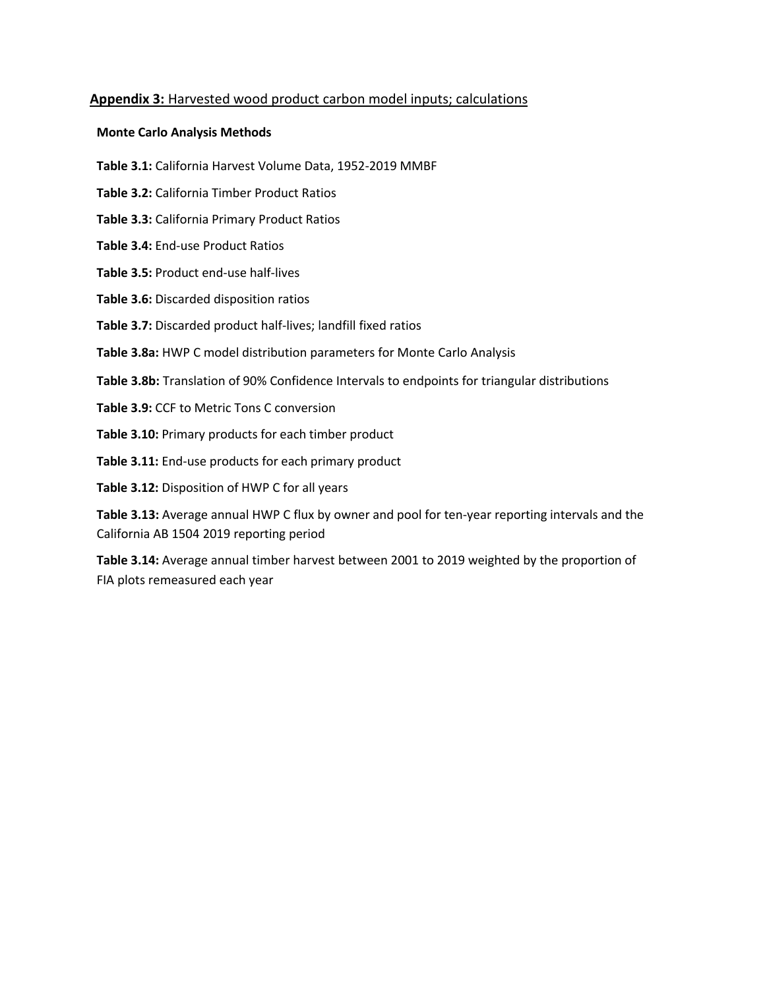## **Appendix 3:** Harvested wood product carbon model inputs; calculations

## **Monte Carlo Analysis Methods**

- **Table 3.1:** California Harvest Volume Data, 1952-2019 MMBF
- **Table 3.2:** California Timber Product Ratios
- **Table 3.3:** California Primary Product Ratios
- **Table 3.4:** End-use Product Ratios
- **Table 3.5:** Product end-use half-lives
- **Table 3.6:** Discarded disposition ratios
- **Table 3.7:** Discarded product half-lives; landfill fixed ratios
- **Table 3.8a:** HWP C model distribution parameters for Monte Carlo Analysis
- **Table 3.8b:** Translation of 90% Confidence Intervals to endpoints for triangular distributions
- **Table 3.9:** CCF to Metric Tons C conversion
- **Table 3.10:** Primary products for each timber product
- **Table 3.11:** End-use products for each primary product

**Table 3.12:** Disposition of HWP C for all years

 **Table 3.13:** Average annual HWP C flux by owner and pool for ten-year reporting intervals and the California AB 1504 2019 reporting period

 **Table 3.14:** Average annual timber harvest between 2001 to 2019 weighted by the proportion of FIA plots remeasured each year